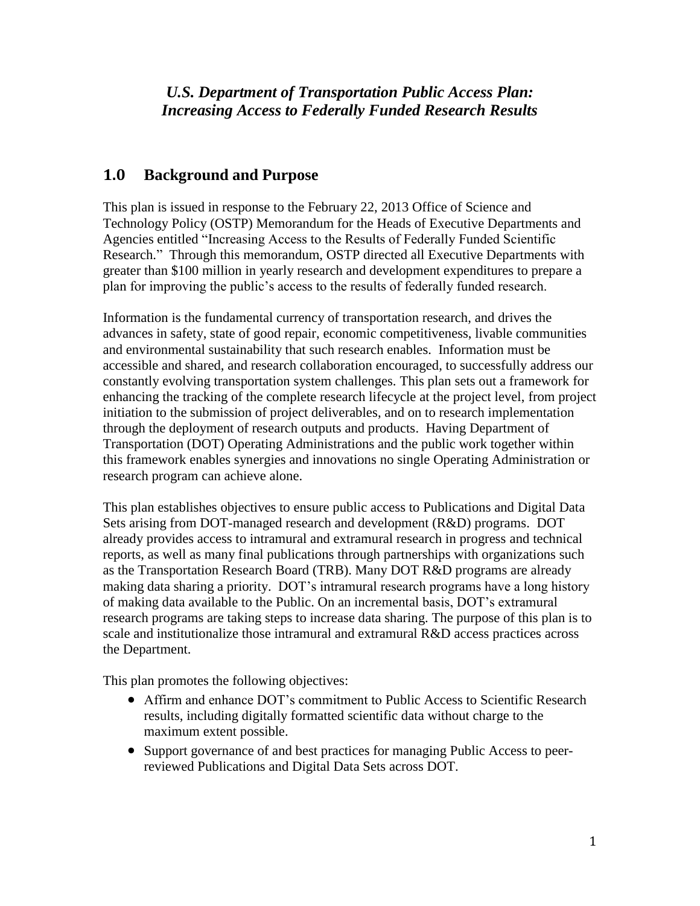*U.S. Department of Transportation Public Access Plan: Increasing Access to Federally Funded Research Results*

# **1.0 Background and Purpose**

This plan is issued in response to the February 22, 2013 Office of Science and Technology Policy (OSTP) Memorandum for the Heads of Executive Departments and Agencies entitled "Increasing Access to the Results of Federally Funded Scientific Research." Through this memorandum, OSTP directed all Executive Departments with greater than \$100 million in yearly research and development expenditures to prepare a plan for improving the public's access to the results of federally funded research.

Information is the fundamental currency of transportation research, and drives the advances in safety, state of good repair, economic competitiveness, livable communities and environmental sustainability that such research enables. Information must be accessible and shared, and research collaboration encouraged, to successfully address our constantly evolving transportation system challenges. This plan sets out a framework for enhancing the tracking of the complete research lifecycle at the project level, from project initiation to the submission of project deliverables, and on to research implementation through the deployment of research outputs and products. Having Department of Transportation (DOT) Operating Administrations and the public work together within this framework enables synergies and innovations no single Operating Administration or research program can achieve alone.

This plan establishes objectives to ensure public access to Publications and Digital Data Sets arising from DOT-managed research and development (R&D) programs. DOT already provides access to intramural and extramural research in progress and technical reports, as well as many final publications through partnerships with organizations such as the Transportation Research Board (TRB). Many DOT R&D programs are already making data sharing a priority. DOT's intramural research programs have a long history of making data available to the Public. On an incremental basis, DOT's extramural research programs are taking steps to increase data sharing. The purpose of this plan is to scale and institutionalize those intramural and extramural R&D access practices across the Department.

This plan promotes the following objectives:

- Affirm and enhance DOT's commitment to Public Access to Scientific Research results, including digitally formatted scientific data without charge to the maximum extent possible.
- Support governance of and best practices for managing Public Access to peerreviewed Publications and Digital Data Sets across DOT.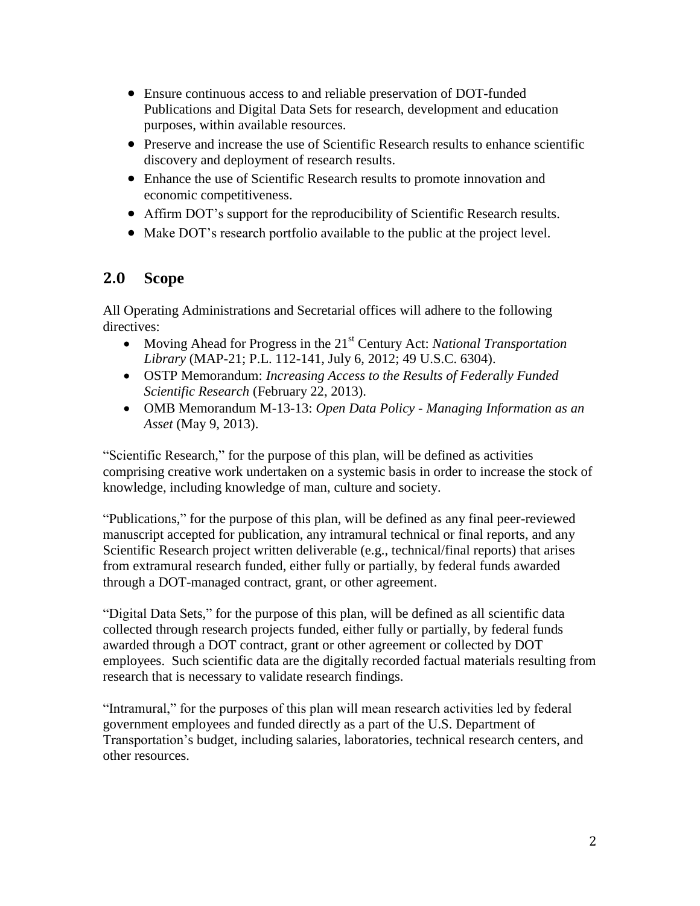- Ensure continuous access to and reliable preservation of DOT-funded Publications and Digital Data Sets for research, development and education purposes, within available resources.
- Preserve and increase the use of Scientific Research results to enhance scientific discovery and deployment of research results.
- Enhance the use of Scientific Research results to promote innovation and economic competitiveness.
- Affirm DOT's support for the reproducibility of Scientific Research results.
- Make DOT's research portfolio available to the public at the project level.

# **2.0 Scope**

All Operating Administrations and Secretarial offices will adhere to the following directives:

- Moving Ahead for Progress in the 21<sup>st</sup> Century Act: *National Transportation Library* (MAP-21; P.L. 112-141, July 6, 2012; 49 U.S.C. 6304).
- OSTP Memorandum: *Increasing Access to the Results of Federally Funded Scientific Research* (February 22, 2013).
- OMB Memorandum M-13-13: *Open Data Policy - Managing Information as an Asset* (May 9, 2013).

"Scientific Research," for the purpose of this plan, will be defined as activities comprising creative work undertaken on a systemic basis in order to increase the stock of knowledge, including knowledge of man, culture and society.

"Publications," for the purpose of this plan, will be defined as any final peer-reviewed manuscript accepted for publication, any intramural technical or final reports, and any Scientific Research project written deliverable (e.g., technical/final reports) that arises from extramural research funded, either fully or partially, by federal funds awarded through a DOT-managed contract, grant, or other agreement.

"Digital Data Sets," for the purpose of this plan, will be defined as all scientific data collected through research projects funded, either fully or partially, by federal funds awarded through a DOT contract, grant or other agreement or collected by DOT employees. Such scientific data are the digitally recorded factual materials resulting from research that is necessary to validate research findings.

"Intramural," for the purposes of this plan will mean research activities led by federal government employees and funded directly as a part of the U.S. Department of Transportation's budget, including salaries, laboratories, technical research centers, and other resources.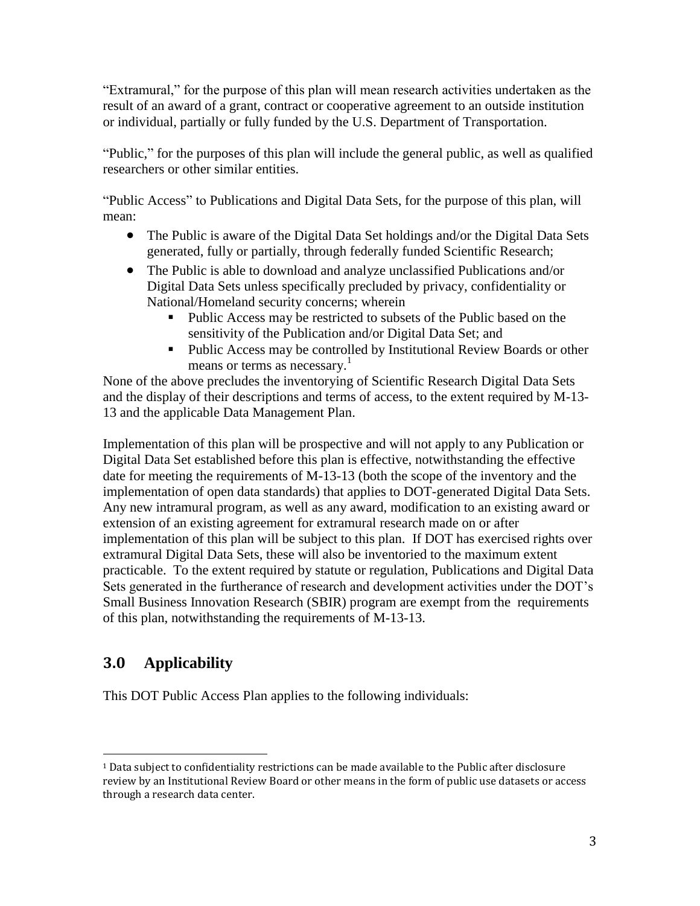"Extramural," for the purpose of this plan will mean research activities undertaken as the result of an award of a grant, contract or cooperative agreement to an outside institution or individual, partially or fully funded by the U.S. Department of Transportation.

"Public," for the purposes of this plan will include the general public, as well as qualified researchers or other similar entities.

"Public Access" to Publications and Digital Data Sets, for the purpose of this plan, will mean:

- The Public is aware of the Digital Data Set holdings and/or the Digital Data Sets generated, fully or partially, through federally funded Scientific Research;
- The Public is able to download and analyze unclassified Publications and/or Digital Data Sets unless specifically precluded by privacy, confidentiality or National/Homeland security concerns; wherein
	- Public Access may be restricted to subsets of the Public based on the sensitivity of the Publication and/or Digital Data Set; and
	- Public Access may be controlled by Institutional Review Boards or other means or terms as necessary.<sup>1</sup>

None of the above precludes the inventorying of Scientific Research Digital Data Sets and the display of their descriptions and terms of access, to the extent required by M-13- 13 and the applicable Data Management Plan.

Implementation of this plan will be prospective and will not apply to any Publication or Digital Data Set established before this plan is effective, notwithstanding the effective date for meeting the requirements of M-13-13 (both the scope of the inventory and the implementation of open data standards) that applies to DOT-generated Digital Data Sets. Any new intramural program, as well as any award, modification to an existing award or extension of an existing agreement for extramural research made on or after implementation of this plan will be subject to this plan. If DOT has exercised rights over extramural Digital Data Sets, these will also be inventoried to the maximum extent practicable. To the extent required by statute or regulation, Publications and Digital Data Sets generated in the furtherance of research and development activities under the DOT's Small Business Innovation Research (SBIR) program are exempt from the requirements of this plan, notwithstanding the requirements of M-13-13.

# **3.0 Applicability**

 $\overline{a}$ 

This DOT Public Access Plan applies to the following individuals:

 $1$  Data subject to confidentiality restrictions can be made available to the Public after disclosure review by an Institutional Review Board or other means in the form of public use datasets or access through a research data center.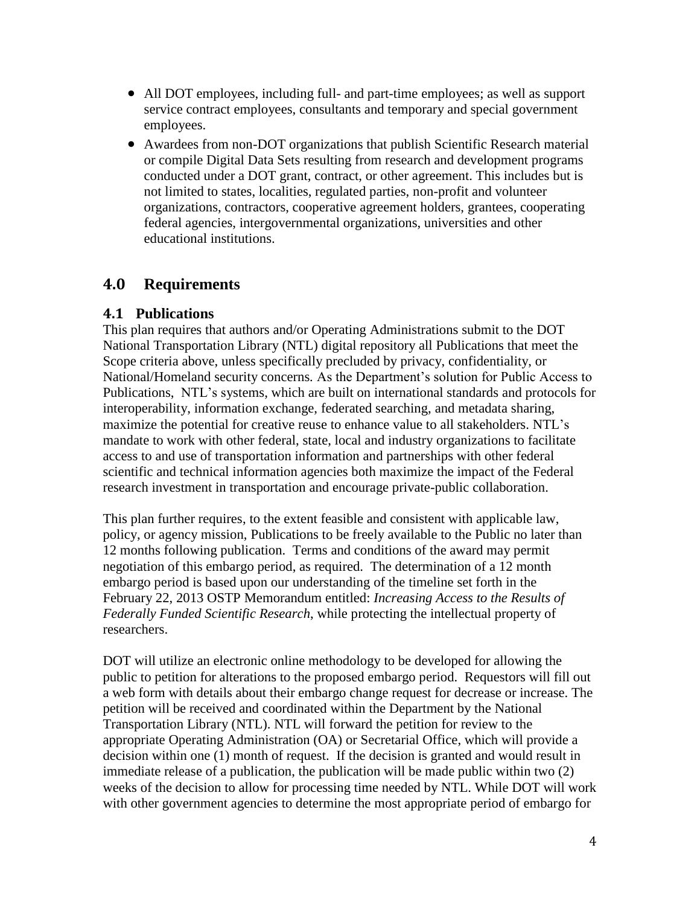- All DOT employees, including full- and part-time employees; as well as support service contract employees, consultants and temporary and special government employees.
- Awardees from non-DOT organizations that publish Scientific Research material or compile Digital Data Sets resulting from research and development programs conducted under a DOT grant, contract, or other agreement. This includes but is not limited to states, localities, regulated parties, non-profit and volunteer organizations, contractors, cooperative agreement holders, grantees, cooperating federal agencies, intergovernmental organizations, universities and other educational institutions.

#### **4.0 Requirements**

#### **4.1 Publications**

This plan requires that authors and/or Operating Administrations submit to the DOT National Transportation Library (NTL) digital repository all Publications that meet the Scope criteria above, unless specifically precluded by privacy, confidentiality, or National/Homeland security concerns*.* As the Department's solution for Public Access to Publications, NTL's systems, which are built on international standards and protocols for interoperability, information exchange, federated searching, and metadata sharing, maximize the potential for creative reuse to enhance value to all stakeholders. NTL's mandate to work with other federal, state, local and industry organizations to facilitate access to and use of transportation information and partnerships with other federal scientific and technical information agencies both maximize the impact of the Federal research investment in transportation and encourage private-public collaboration.

This plan further requires, to the extent feasible and consistent with applicable law, policy, or agency mission, Publications to be freely available to the Public no later than 12 months following publication. Terms and conditions of the award may permit negotiation of this embargo period, as required. The determination of a 12 month embargo period is based upon our understanding of the timeline set forth in the February 22, 2013 OSTP Memorandum entitled: *Increasing Access to the Results of Federally Funded Scientific Research*, while protecting the intellectual property of researchers.

DOT will utilize an electronic online methodology to be developed for allowing the public to petition for alterations to the proposed embargo period. Requestors will fill out a web form with details about their embargo change request for decrease or increase. The petition will be received and coordinated within the Department by the National Transportation Library (NTL). NTL will forward the petition for review to the appropriate Operating Administration (OA) or Secretarial Office, which will provide a decision within one (1) month of request. If the decision is granted and would result in immediate release of a publication, the publication will be made public within two (2) weeks of the decision to allow for processing time needed by NTL. While DOT will work with other government agencies to determine the most appropriate period of embargo for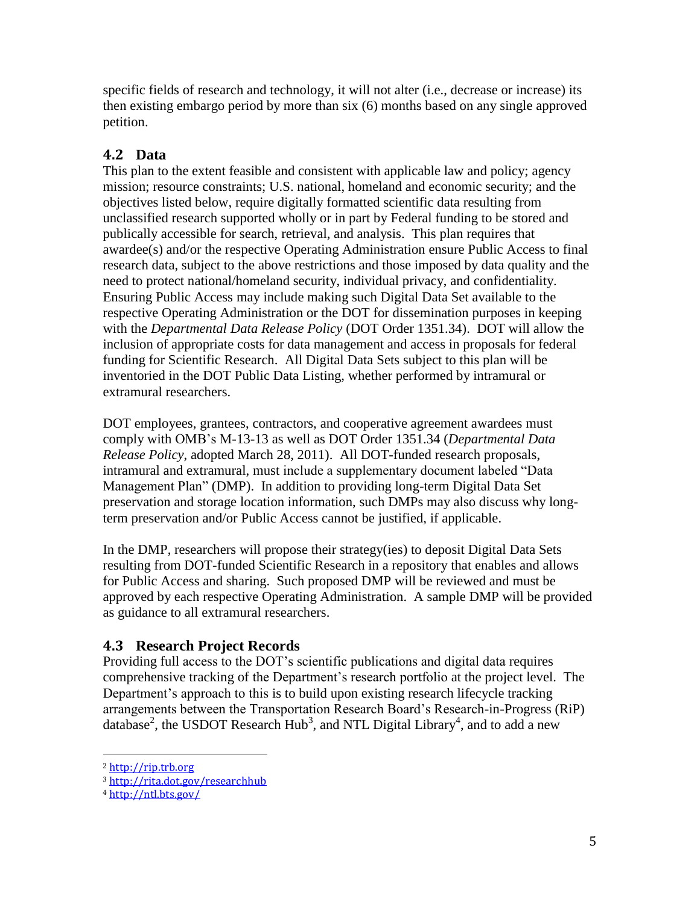specific fields of research and technology, it will not alter (i.e., decrease or increase) its then existing embargo period by more than six (6) months based on any single approved petition.

# **4.2 Data**

This plan to the extent feasible and consistent with applicable law and policy; agency mission; resource constraints; U.S. national, homeland and economic security; and the objectives listed below, require digitally formatted scientific data resulting from unclassified research supported wholly or in part by Federal funding to be stored and publically accessible for search, retrieval, and analysis. This plan requires that awardee(s) and/or the respective Operating Administration ensure Public Access to final research data, subject to the above restrictions and those imposed by data quality and the need to protect national/homeland security, individual privacy, and confidentiality. Ensuring Public Access may include making such Digital Data Set available to the respective Operating Administration or the DOT for dissemination purposes in keeping with the *Departmental Data Release Policy* (DOT Order 1351.34). DOT will allow the inclusion of appropriate costs for data management and access in proposals for federal funding for Scientific Research. All Digital Data Sets subject to this plan will be inventoried in the DOT Public Data Listing, whether performed by intramural or extramural researchers.

DOT employees, grantees, contractors, and cooperative agreement awardees must comply with OMB's M-13-13 as well as DOT Order 1351.34 (*Departmental Data Release Policy*, adopted March 28, 2011). All DOT-funded research proposals, intramural and extramural, must include a supplementary document labeled "Data Management Plan" (DMP). In addition to providing long-term Digital Data Set preservation and storage location information, such DMPs may also discuss why longterm preservation and/or Public Access cannot be justified, if applicable.

In the DMP, researchers will propose their strategy(ies) to deposit Digital Data Sets resulting from DOT-funded Scientific Research in a repository that enables and allows for Public Access and sharing. Such proposed DMP will be reviewed and must be approved by each respective Operating Administration. A sample DMP will be provided as guidance to all extramural researchers.

### **4.3 Research Project Records**

Providing full access to the DOT's scientific publications and digital data requires comprehensive tracking of the Department's research portfolio at the project level. The Department's approach to this is to build upon existing research lifecycle tracking arrangements between the Transportation Research Board's Research-in-Progress (RiP) database<sup>2</sup>, the USDOT Research Hub<sup>3</sup>, and NTL Digital Library<sup>4</sup>, and to add a new

 $\overline{a}$ 

<sup>2</sup> [http://rip.trb.org](http://rip.trb.org/)

<sup>3</sup> <http://rita.dot.gov/researchhub>

<sup>4</sup> <http://ntl.bts.gov/>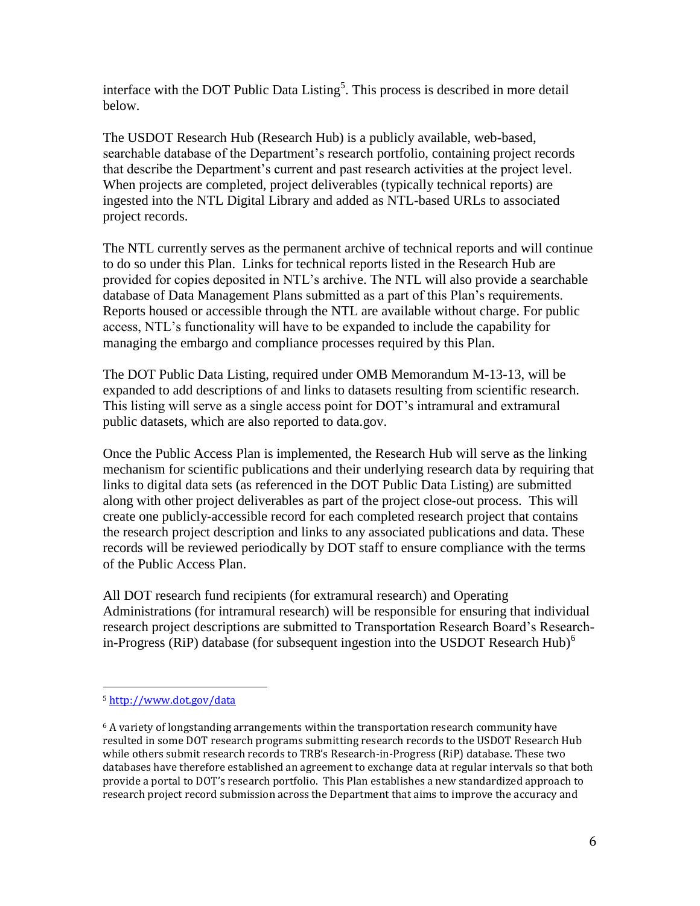interface with the DOT Public Data Listing<sup>5</sup>. This process is described in more detail below.

The USDOT Research Hub (Research Hub) is a publicly available, web-based, searchable database of the Department's research portfolio, containing project records that describe the Department's current and past research activities at the project level. When projects are completed, project deliverables (typically technical reports) are ingested into the NTL Digital Library and added as NTL-based URLs to associated project records.

The NTL currently serves as the permanent archive of technical reports and will continue to do so under this Plan. Links for technical reports listed in the Research Hub are provided for copies deposited in NTL's archive. The NTL will also provide a searchable database of Data Management Plans submitted as a part of this Plan's requirements. Reports housed or accessible through the NTL are available without charge. For public access, NTL's functionality will have to be expanded to include the capability for managing the embargo and compliance processes required by this Plan.

The DOT Public Data Listing, required under OMB Memorandum M-13-13, will be expanded to add descriptions of and links to datasets resulting from scientific research. This listing will serve as a single access point for DOT's intramural and extramural public datasets, which are also reported to data.gov.

Once the Public Access Plan is implemented, the Research Hub will serve as the linking mechanism for scientific publications and their underlying research data by requiring that links to digital data sets (as referenced in the DOT Public Data Listing) are submitted along with other project deliverables as part of the project close-out process. This will create one publicly-accessible record for each completed research project that contains the research project description and links to any associated publications and data. These records will be reviewed periodically by DOT staff to ensure compliance with the terms of the Public Access Plan.

All DOT research fund recipients (for extramural research) and Operating Administrations (for intramural research) will be responsible for ensuring that individual research project descriptions are submitted to Transportation Research Board's Researchin-Progress (RiP) database (for subsequent ingestion into the USDOT Research Hub)<sup>6</sup>

l

<sup>5</sup> <http://www.dot.gov/data>

 $6$  A variety of longstanding arrangements within the transportation research community have resulted in some DOT research programs submitting research records to the USDOT Research Hub while others submit research records to TRB's Research-in-Progress (RiP) database. These two databases have therefore established an agreement to exchange data at regular intervals so that both provide a portal to DOT's research portfolio. This Plan establishes a new standardized approach to research project record submission across the Department that aims to improve the accuracy and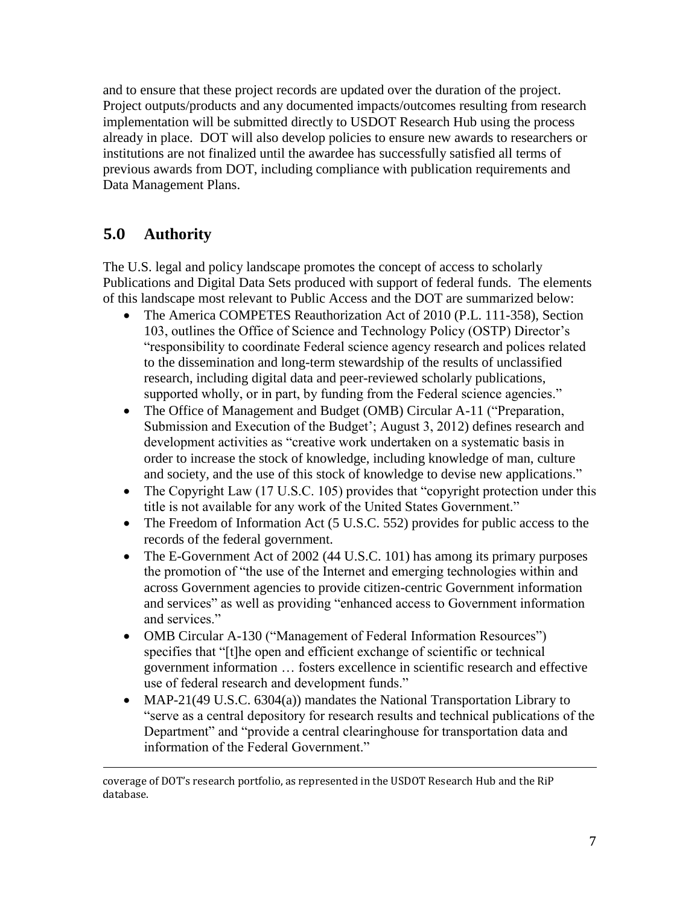and to ensure that these project records are updated over the duration of the project. Project outputs/products and any documented impacts/outcomes resulting from research implementation will be submitted directly to USDOT Research Hub using the process already in place. DOT will also develop policies to ensure new awards to researchers or institutions are not finalized until the awardee has successfully satisfied all terms of previous awards from DOT, including compliance with publication requirements and Data Management Plans.

# **5.0 Authority**

 $\overline{a}$ 

The U.S. legal and policy landscape promotes the concept of access to scholarly Publications and Digital Data Sets produced with support of federal funds. The elements of this landscape most relevant to Public Access and the DOT are summarized below:

- The America COMPETES Reauthorization Act of 2010 (P.L. 111-358), Section 103, outlines the Office of Science and Technology Policy (OSTP) Director's "responsibility to coordinate Federal science agency research and polices related to the dissemination and long-term stewardship of the results of unclassified research, including digital data and peer-reviewed scholarly publications, supported wholly, or in part, by funding from the Federal science agencies."
- The Office of Management and Budget (OMB) Circular A-11 ("Preparation, Submission and Execution of the Budget'; August 3, 2012) defines research and development activities as "creative work undertaken on a systematic basis in order to increase the stock of knowledge, including knowledge of man, culture and society, and the use of this stock of knowledge to devise new applications."
- The Copyright Law (17 U.S.C. 105) provides that "copyright protection under this title is not available for any work of the United States Government."
- The Freedom of Information Act (5 U.S.C. 552) provides for public access to the records of the federal government.
- The E-Government Act of 2002 (44 U.S.C. 101) has among its primary purposes the promotion of "the use of the Internet and emerging technologies within and across Government agencies to provide citizen-centric Government information and services" as well as providing "enhanced access to Government information and services."
- OMB Circular A-130 ("Management of Federal Information Resources") specifies that "[t]he open and efficient exchange of scientific or technical government information … fosters excellence in scientific research and effective use of federal research and development funds."
- MAP-21(49 U.S.C. 6304(a)) mandates the National Transportation Library to "serve as a central depository for research results and technical publications of the Department" and "provide a central clearinghouse for transportation data and information of the Federal Government."

coverage of DOT's research portfolio, as represented in the USDOT Research Hub and the RiP database.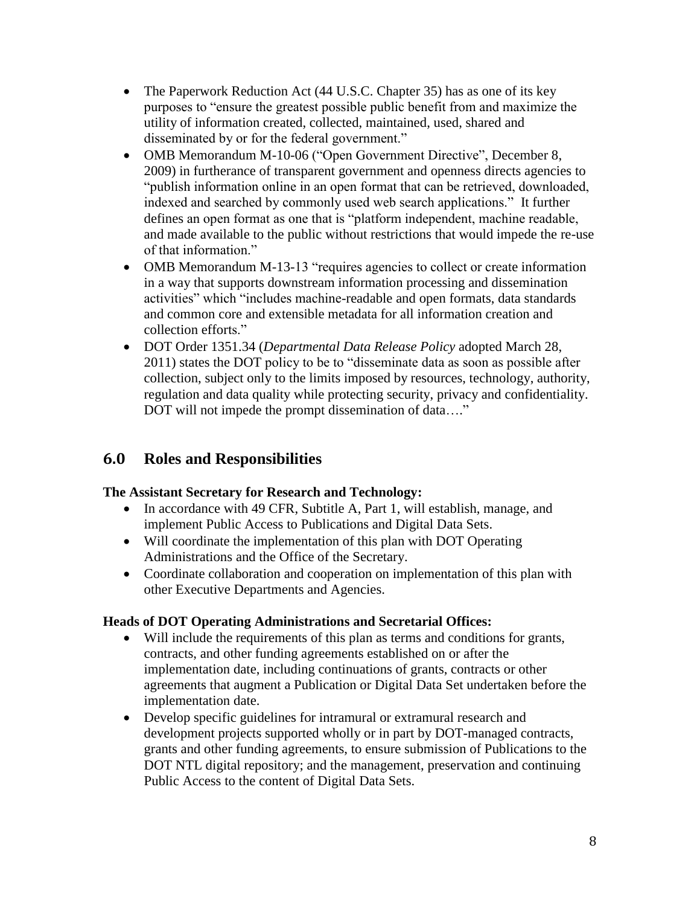- The Paperwork Reduction Act (44 U.S.C. Chapter 35) has as one of its key purposes to "ensure the greatest possible public benefit from and maximize the utility of information created, collected, maintained, used, shared and disseminated by or for the federal government."
- OMB Memorandum M-10-06 ("Open Government Directive", December 8, 2009) in furtherance of transparent government and openness directs agencies to "publish information online in an open format that can be retrieved, downloaded, indexed and searched by commonly used web search applications." It further defines an open format as one that is "platform independent, machine readable, and made available to the public without restrictions that would impede the re-use of that information."
- OMB Memorandum M-13-13 "requires agencies to collect or create information in a way that supports downstream information processing and dissemination activities" which "includes machine-readable and open formats, data standards and common core and extensible metadata for all information creation and collection efforts."
- DOT Order 1351.34 (*Departmental Data Release Policy* adopted March 28, 2011) states the DOT policy to be to "disseminate data as soon as possible after collection, subject only to the limits imposed by resources, technology, authority, regulation and data quality while protecting security, privacy and confidentiality. DOT will not impede the prompt dissemination of data...."

# **6.0 Roles and Responsibilities**

#### **The Assistant Secretary for Research and Technology:**

- In accordance with 49 CFR, Subtitle A, Part 1, will establish, manage, and implement Public Access to Publications and Digital Data Sets.
- Will coordinate the implementation of this plan with DOT Operating Administrations and the Office of the Secretary.
- Coordinate collaboration and cooperation on implementation of this plan with other Executive Departments and Agencies.

#### **Heads of DOT Operating Administrations and Secretarial Offices:**

- Will include the requirements of this plan as terms and conditions for grants, contracts, and other funding agreements established on or after the implementation date, including continuations of grants, contracts or other agreements that augment a Publication or Digital Data Set undertaken before the implementation date.
- Develop specific guidelines for intramural or extramural research and development projects supported wholly or in part by DOT-managed contracts, grants and other funding agreements, to ensure submission of Publications to the DOT NTL digital repository; and the management, preservation and continuing Public Access to the content of Digital Data Sets.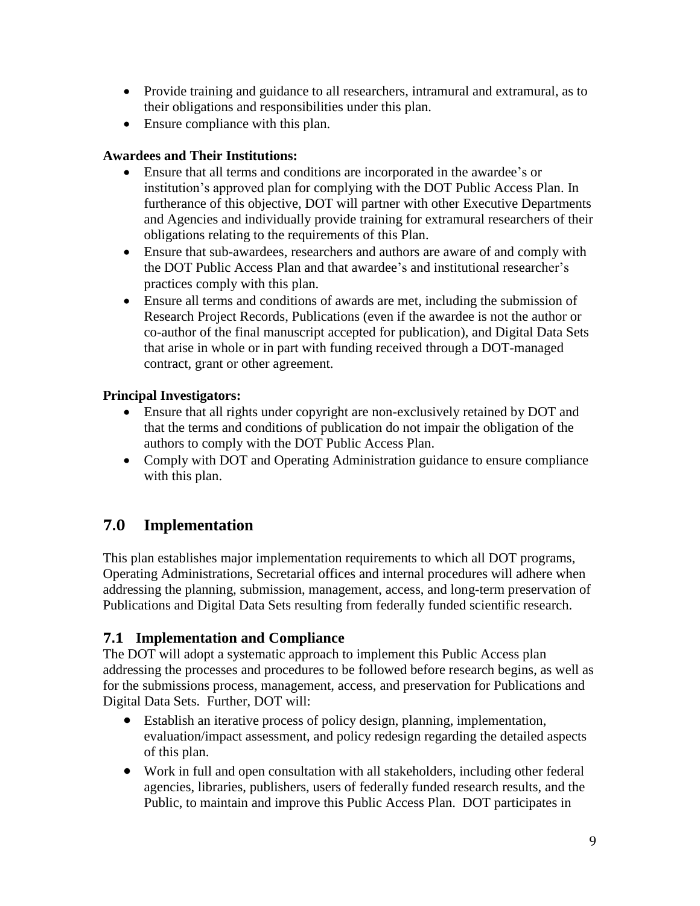- Provide training and guidance to all researchers, intramural and extramural, as to their obligations and responsibilities under this plan.
- Ensure compliance with this plan.

#### **Awardees and Their Institutions:**

- Ensure that all terms and conditions are incorporated in the awardee's or institution's approved plan for complying with the DOT Public Access Plan. In furtherance of this objective, DOT will partner with other Executive Departments and Agencies and individually provide training for extramural researchers of their obligations relating to the requirements of this Plan.
- Ensure that sub-awardees, researchers and authors are aware of and comply with the DOT Public Access Plan and that awardee's and institutional researcher's practices comply with this plan.
- Ensure all terms and conditions of awards are met, including the submission of Research Project Records, Publications (even if the awardee is not the author or co-author of the final manuscript accepted for publication), and Digital Data Sets that arise in whole or in part with funding received through a DOT-managed contract, grant or other agreement.

#### **Principal Investigators:**

- Ensure that all rights under copyright are non-exclusively retained by DOT and that the terms and conditions of publication do not impair the obligation of the authors to comply with the DOT Public Access Plan.
- Comply with DOT and Operating Administration guidance to ensure compliance with this plan.

### **7.0 Implementation**

This plan establishes major implementation requirements to which all DOT programs, Operating Administrations, Secretarial offices and internal procedures will adhere when addressing the planning, submission, management, access, and long-term preservation of Publications and Digital Data Sets resulting from federally funded scientific research.

#### **7.1 Implementation and Compliance**

The DOT will adopt a systematic approach to implement this Public Access plan addressing the processes and procedures to be followed before research begins, as well as for the submissions process, management, access, and preservation for Publications and Digital Data Sets. Further, DOT will:

- Establish an iterative process of policy design, planning, implementation, evaluation/impact assessment, and policy redesign regarding the detailed aspects of this plan.
- Work in full and open consultation with all stakeholders, including other federal agencies, libraries, publishers, users of federally funded research results, and the Public, to maintain and improve this Public Access Plan. DOT participates in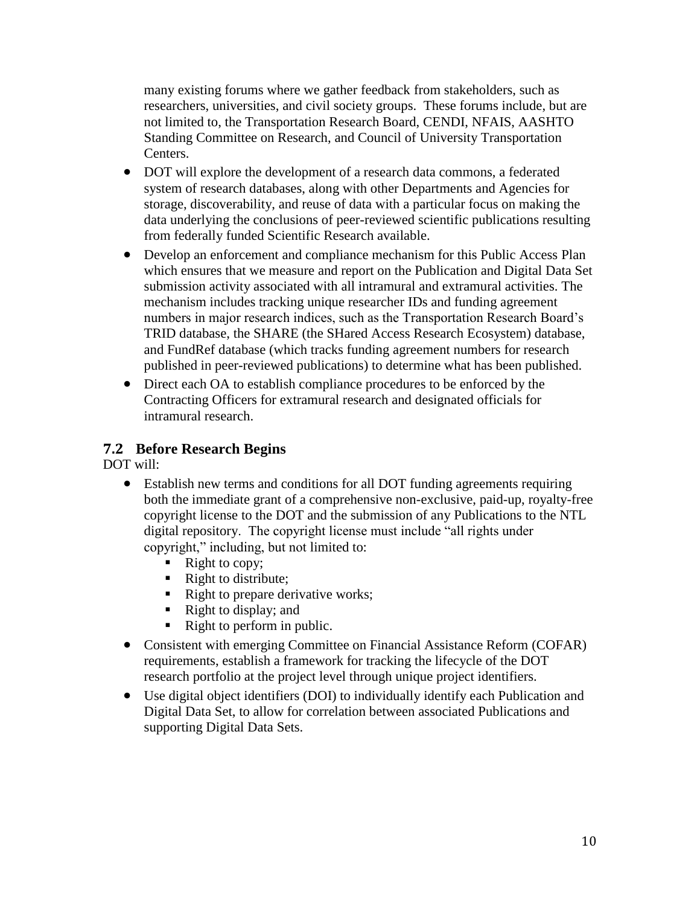many existing forums where we gather feedback from stakeholders, such as researchers, universities, and civil society groups. These forums include, but are not limited to, the Transportation Research Board, CENDI, NFAIS, AASHTO Standing Committee on Research, and Council of University Transportation Centers.

- DOT will explore the development of a research data commons, a federated system of research databases, along with other Departments and Agencies for storage, discoverability, and reuse of data with a particular focus on making the data underlying the conclusions of peer-reviewed scientific publications resulting from federally funded Scientific Research available.
- Develop an enforcement and compliance mechanism for this Public Access Plan which ensures that we measure and report on the Publication and Digital Data Set submission activity associated with all intramural and extramural activities. The mechanism includes tracking unique researcher IDs and funding agreement numbers in major research indices, such as the Transportation Research Board's TRID database, the SHARE (the SHared Access Research Ecosystem) database, and FundRef database (which tracks funding agreement numbers for research published in peer-reviewed publications) to determine what has been published.
- Direct each OA to establish compliance procedures to be enforced by the Contracting Officers for extramural research and designated officials for intramural research.

### **7.2 Before Research Begins**

DOT will:

- Establish new terms and conditions for all DOT funding agreements requiring both the immediate grant of a comprehensive non-exclusive, paid-up, royalty-free copyright license to the DOT and the submission of any Publications to the NTL digital repository. The copyright license must include "all rights under copyright," including, but not limited to:
	- $\blacksquare$  Right to copy;
	- Right to distribute;
	- Right to prepare derivative works;
	- Right to display; and
	- Right to perform in public.
- Consistent with emerging Committee on Financial Assistance Reform (COFAR) requirements, establish a framework for tracking the lifecycle of the DOT research portfolio at the project level through unique project identifiers.
- Use digital object identifiers (DOI) to individually identify each Publication and Digital Data Set, to allow for correlation between associated Publications and supporting Digital Data Sets.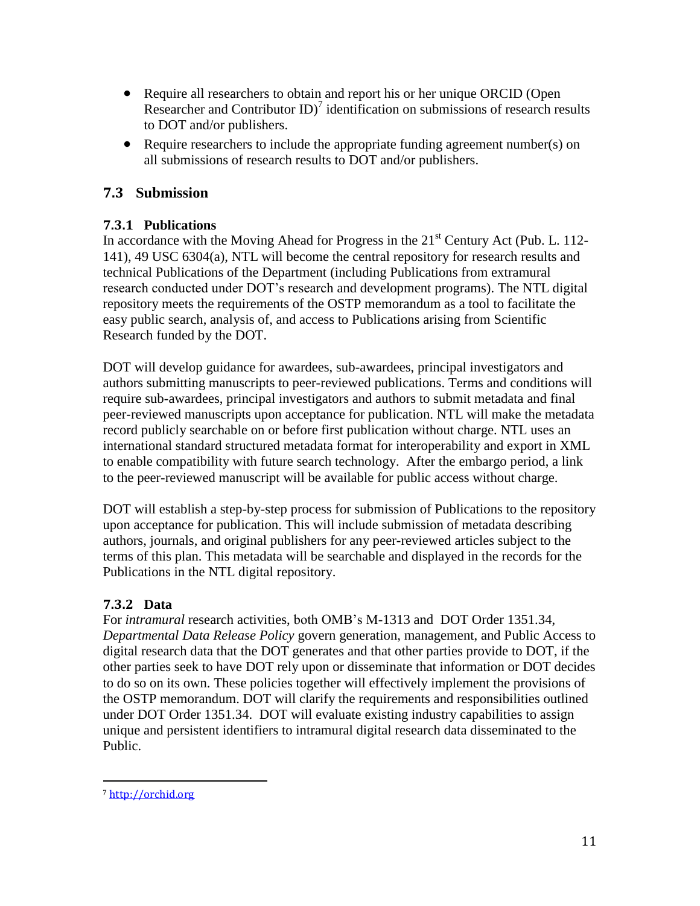- Require all researchers to obtain and report his or her unique ORCID (Open Researcher and Contributor  $ID$ <sup>7</sup> identification on submissions of research results to DOT and/or publishers.
- Require researchers to include the appropriate funding agreement number(s) on all submissions of research results to DOT and/or publishers.

#### **7.3 Submission**

#### **7.3.1 Publications**

In accordance with the Moving Ahead for Progress in the  $21<sup>st</sup>$  Century Act (Pub. L. 112-141), 49 USC 6304(a), NTL will become the central repository for research results and technical Publications of the Department (including Publications from extramural research conducted under DOT's research and development programs). The NTL digital repository meets the requirements of the OSTP memorandum as a tool to facilitate the easy public search, analysis of, and access to Publications arising from Scientific Research funded by the DOT.

DOT will develop guidance for awardees, sub-awardees, principal investigators and authors submitting manuscripts to peer-reviewed publications. Terms and conditions will require sub-awardees, principal investigators and authors to submit metadata and final peer-reviewed manuscripts upon acceptance for publication. NTL will make the metadata record publicly searchable on or before first publication without charge. NTL uses an international standard structured metadata format for interoperability and export in XML to enable compatibility with future search technology. After the embargo period, a link to the peer-reviewed manuscript will be available for public access without charge.

DOT will establish a step-by-step process for submission of Publications to the repository upon acceptance for publication. This will include submission of metadata describing authors, journals, and original publishers for any peer-reviewed articles subject to the terms of this plan. This metadata will be searchable and displayed in the records for the Publications in the NTL digital repository.

#### **7.3.2 Data**

For *intramural* research activities, both OMB's M-1313 and DOT Order 1351.34, *Departmental Data Release Policy* govern generation, management, and Public Access to digital research data that the DOT generates and that other parties provide to DOT, if the other parties seek to have DOT rely upon or disseminate that information or DOT decides to do so on its own. These policies together will effectively implement the provisions of the OSTP memorandum. DOT will clarify the requirements and responsibilities outlined under DOT Order 1351.34. DOT will evaluate existing industry capabilities to assign unique and persistent identifiers to intramural digital research data disseminated to the Public.

l

<sup>7</sup> [http://orchid.org](http://orchid.org/)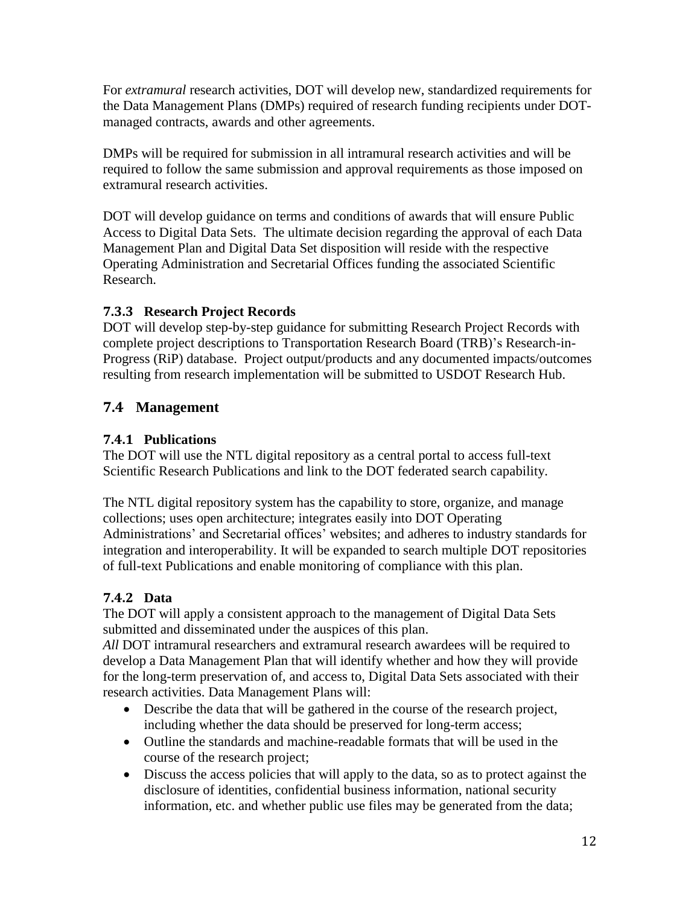For *extramural* research activities, DOT will develop new, standardized requirements for the Data Management Plans (DMPs) required of research funding recipients under DOTmanaged contracts, awards and other agreements.

DMPs will be required for submission in all intramural research activities and will be required to follow the same submission and approval requirements as those imposed on extramural research activities.

DOT will develop guidance on terms and conditions of awards that will ensure Public Access to Digital Data Sets. The ultimate decision regarding the approval of each Data Management Plan and Digital Data Set disposition will reside with the respective Operating Administration and Secretarial Offices funding the associated Scientific Research.

#### **7.3.3 Research Project Records**

DOT will develop step-by-step guidance for submitting Research Project Records with complete project descriptions to Transportation Research Board (TRB)'s Research-in-Progress (RiP) database. Project output/products and any documented impacts/outcomes resulting from research implementation will be submitted to USDOT Research Hub.

# **7.4 Management**

#### **7.4.1 Publications**

The DOT will use the NTL digital repository as a central portal to access full-text Scientific Research Publications and link to the DOT federated search capability.

The NTL digital repository system has the capability to store, organize, and manage collections; uses open architecture; integrates easily into DOT Operating Administrations' and Secretarial offices' websites; and adheres to industry standards for integration and interoperability. It will be expanded to search multiple DOT repositories of full-text Publications and enable monitoring of compliance with this plan.

### **7.4.2 Data**

The DOT will apply a consistent approach to the management of Digital Data Sets submitted and disseminated under the auspices of this plan.

*All* DOT intramural researchers and extramural research awardees will be required to develop a Data Management Plan that will identify whether and how they will provide for the long-term preservation of, and access to, Digital Data Sets associated with their research activities. Data Management Plans will:

- Describe the data that will be gathered in the course of the research project, including whether the data should be preserved for long-term access;
- Outline the standards and machine-readable formats that will be used in the course of the research project;
- Discuss the access policies that will apply to the data, so as to protect against the disclosure of identities, confidential business information, national security information, etc. and whether public use files may be generated from the data;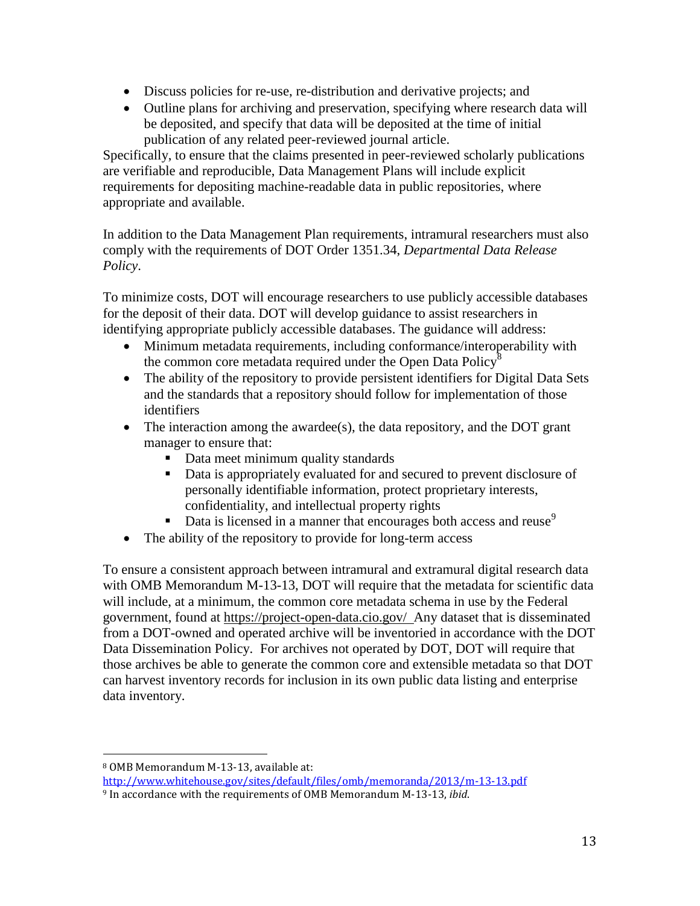- Discuss policies for re-use, re-distribution and derivative projects; and
- Outline plans for archiving and preservation, specifying where research data will be deposited, and specify that data will be deposited at the time of initial publication of any related peer-reviewed journal article.

Specifically, to ensure that the claims presented in peer-reviewed scholarly publications are verifiable and reproducible, Data Management Plans will include explicit requirements for depositing machine-readable data in public repositories, where appropriate and available.

In addition to the Data Management Plan requirements, intramural researchers must also comply with the requirements of DOT Order 1351.34, *Departmental Data Release Policy*.

To minimize costs, DOT will encourage researchers to use publicly accessible databases for the deposit of their data. DOT will develop guidance to assist researchers in identifying appropriate publicly accessible databases. The guidance will address:

- Minimum metadata requirements, including conformance/interoperability with the common core metadata required under the Open Data Policy<sup>8</sup>
- The ability of the repository to provide persistent identifiers for Digital Data Sets and the standards that a repository should follow for implementation of those identifiers
- The interaction among the awardee(s), the data repository, and the DOT grant manager to ensure that:
	- Data meet minimum quality standards
	- Data is appropriately evaluated for and secured to prevent disclosure of personally identifiable information, protect proprietary interests, confidentiality, and intellectual property rights
	- Data is licensed in a manner that encourages both access and reuse<sup>9</sup>
- The ability of the repository to provide for long-term access

To ensure a consistent approach between intramural and extramural digital research data with OMB Memorandum M-13-13, DOT will require that the metadata for scientific data will include, at a minimum, the common core metadata schema in use by the Federal government, found at<https://project-open-data.cio.gov/>Any dataset that is disseminated from a DOT-owned and operated archive will be inventoried in accordance with the DOT Data Dissemination Policy. For archives not operated by DOT, DOT will require that those archives be able to generate the common core and extensible metadata so that DOT can harvest inventory records for inclusion in its own public data listing and enterprise data inventory.

 $\overline{a}$ 

<sup>8</sup> OMB Memorandum M-13-13, available at:

<http://www.whitehouse.gov/sites/default/files/omb/memoranda/2013/m-13-13.pdf> <sup>9</sup> In accordance with the requirements of OMB Memorandum M-13-13, *ibid*.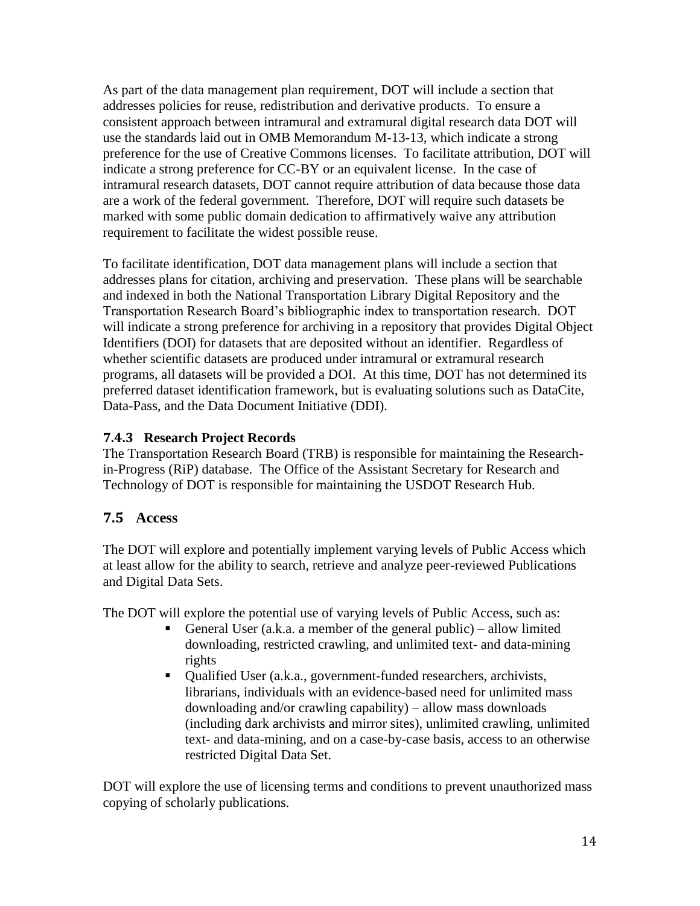As part of the data management plan requirement, DOT will include a section that addresses policies for reuse, redistribution and derivative products. To ensure a consistent approach between intramural and extramural digital research data DOT will use the standards laid out in OMB Memorandum M-13-13, which indicate a strong preference for the use of Creative Commons licenses. To facilitate attribution, DOT will indicate a strong preference for CC-BY or an equivalent license. In the case of intramural research datasets, DOT cannot require attribution of data because those data are a work of the federal government. Therefore, DOT will require such datasets be marked with some public domain dedication to affirmatively waive any attribution requirement to facilitate the widest possible reuse.

To facilitate identification, DOT data management plans will include a section that addresses plans for citation, archiving and preservation. These plans will be searchable and indexed in both the National Transportation Library Digital Repository and the Transportation Research Board's bibliographic index to transportation research. DOT will indicate a strong preference for archiving in a repository that provides Digital Object Identifiers (DOI) for datasets that are deposited without an identifier. Regardless of whether scientific datasets are produced under intramural or extramural research programs, all datasets will be provided a DOI. At this time, DOT has not determined its preferred dataset identification framework, but is evaluating solutions such as DataCite, Data-Pass, and the Data Document Initiative (DDI).

#### **7.4.3 Research Project Records**

The Transportation Research Board (TRB) is responsible for maintaining the Researchin-Progress (RiP) database. The Office of the Assistant Secretary for Research and Technology of DOT is responsible for maintaining the USDOT Research Hub.

#### **7.5 Access**

The DOT will explore and potentially implement varying levels of Public Access which at least allow for the ability to search, retrieve and analyze peer-reviewed Publications and Digital Data Sets.

The DOT will explore the potential use of varying levels of Public Access, such as:

- General User (a.k.a. a member of the general public) allow limited downloading, restricted crawling, and unlimited text- and data-mining rights
- Qualified User (a.k.a., government-funded researchers, archivists, librarians, individuals with an evidence-based need for unlimited mass downloading and/or crawling capability) – allow mass downloads (including dark archivists and mirror sites), unlimited crawling, unlimited text- and data-mining, and on a case-by-case basis, access to an otherwise restricted Digital Data Set.

DOT will explore the use of licensing terms and conditions to prevent unauthorized mass copying of scholarly publications.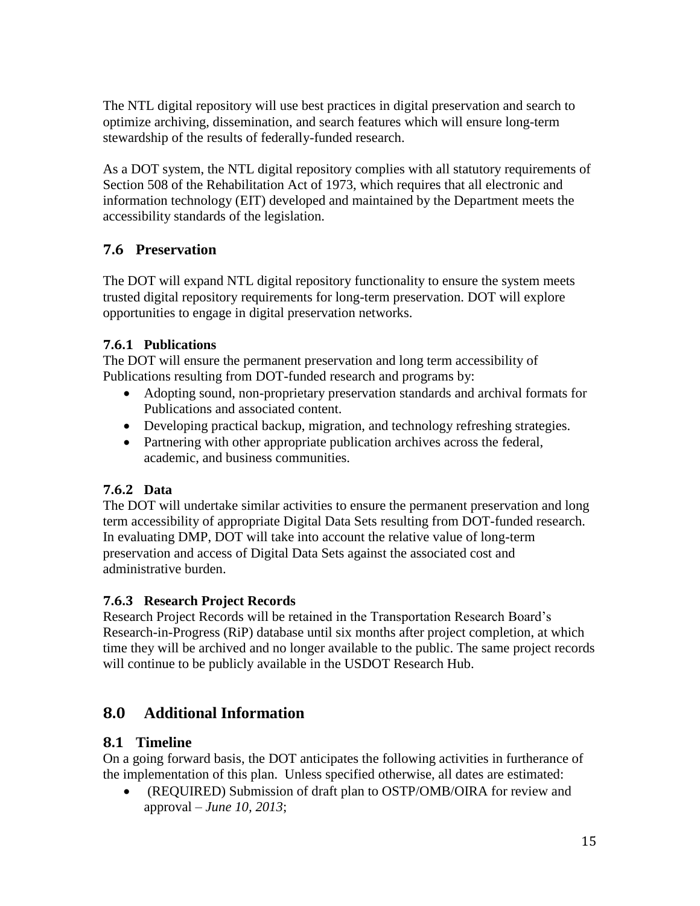The NTL digital repository will use best practices in digital preservation and search to optimize archiving, dissemination, and search features which will ensure long-term stewardship of the results of federally-funded research.

As a DOT system, the NTL digital repository complies with all statutory requirements of Section 508 of the Rehabilitation Act of 1973, which requires that all electronic and information technology (EIT) developed and maintained by the Department meets the accessibility standards of the legislation.

### **7.6 Preservation**

The DOT will expand NTL digital repository functionality to ensure the system meets trusted digital repository requirements for long-term preservation. DOT will explore opportunities to engage in digital preservation networks.

#### **7.6.1 Publications**

The DOT will ensure the permanent preservation and long term accessibility of Publications resulting from DOT-funded research and programs by:

- Adopting sound, non-proprietary preservation standards and archival formats for Publications and associated content.
- Developing practical backup, migration, and technology refreshing strategies.
- Partnering with other appropriate publication archives across the federal, academic, and business communities.

#### **7.6.2 Data**

The DOT will undertake similar activities to ensure the permanent preservation and long term accessibility of appropriate Digital Data Sets resulting from DOT-funded research. In evaluating DMP, DOT will take into account the relative value of long-term preservation and access of Digital Data Sets against the associated cost and administrative burden.

#### **7.6.3 Research Project Records**

Research Project Records will be retained in the Transportation Research Board's Research-in-Progress (RiP) database until six months after project completion, at which time they will be archived and no longer available to the public. The same project records will continue to be publicly available in the USDOT Research Hub.

# **8.0 Additional Information**

#### **8.1 Timeline**

On a going forward basis, the DOT anticipates the following activities in furtherance of the implementation of this plan. Unless specified otherwise, all dates are estimated:

 (REQUIRED) Submission of draft plan to OSTP/OMB/OIRA for review and approval – *June 10, 2013*;